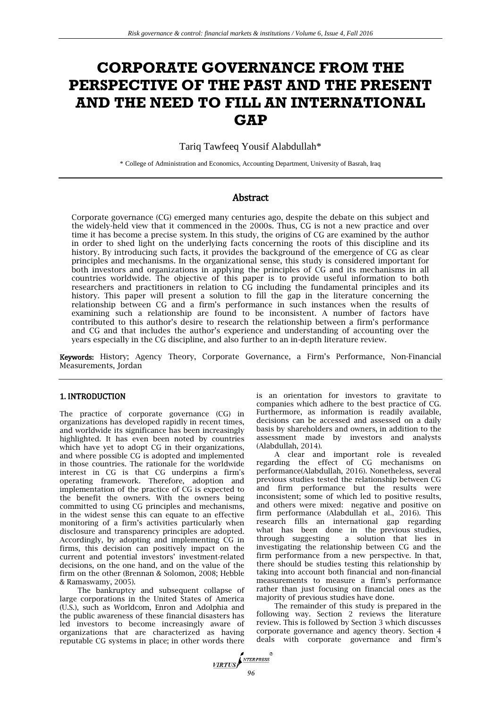# **CORPORATE GOVERNANCE FROM THE PERSPECTIVE OF THE PAST AND THE PRESENT AND THE NEED TO FILL AN INTERNATIONAL GAP**

Tariq Tawfeeq Yousif Alabdullah\*

\* College of Administration and Economics, Accounting Department, University of Basrah, Iraq

## Abstract

Corporate governance (CG) emerged many centuries ago, despite the debate on this subject and the widely-held view that it commenced in the 2000s. Thus, CG is not a new practice and over time it has become a precise system. In this study, the origins of CG are examined by the author in order to shed light on the underlying facts concerning the roots of this discipline and its history. By introducing such facts, it provides the background of the emergence of CG as clear principles and mechanisms. In the organizational sense, this study is considered important for both investors and organizations in applying the principles of CG and its mechanisms in all countries worldwide. The objective of this paper is to provide useful information to both researchers and practitioners in relation to CG including the fundamental principles and its history. This paper will present a solution to fill the gap in the literature concerning the relationship between CG and a firm's performance in such instances when the results of examining such a relationship are found to be inconsistent. A number of factors have contributed to this author's desire to research the relationship between a firm's performance and CG and that includes the author's experience and understanding of accounting over the years especially in the CG discipline, and also further to an in-depth literature review.

Keywords: History; Agency Theory, Corporate Governance, a Firm's Performance, Non-Financial Measurements, Jordan

#### 1. INTRODUCTION

The practice of corporate governance (CG) in organizations has developed rapidly in recent times, and worldwide its significance has been increasingly highlighted. It has even been noted by countries which have yet to adopt CG in their organizations, and where possible CG is adopted and implemented in those countries. The rationale for the worldwide interest in CG is that CG underpins a firm's operating framework. Therefore, adoption and implementation of the practice of CG is expected to the benefit the owners. With the owners being committed to using CG principles and mechanisms, in the widest sense this can equate to an effective monitoring of a firm's activities particularly when disclosure and transparency principles are adopted. Accordingly, by adopting and implementing CG in firms, this decision can positively impact on the current and potential investors' investment-related decisions, on the one hand, and on the value of the firm on the other (Brennan & Solomon, 2008; Hebble & Ramaswamy, 2005).

The bankruptcy and subsequent collapse of large corporations in the United States of America (U.S.), such as Worldcom, Enron and Adolphia and the public awareness of these financial disasters has led investors to become increasingly aware of organizations that are characterized as having reputable CG systems in place; in other words there is an orientation for investors to gravitate to companies which adhere to the best practice of CG. Furthermore, as information is readily available, decisions can be accessed and assessed on a daily basis by shareholders and owners, in addition to the assessment made by investors and analysts (Alabdullah, 2014).

A clear and important role is revealed regarding the effect of CG mechanisms on performance(Alabdullah, 2016). Nonetheless, several previous studies tested the relationship between CG and firm performance but the results were inconsistent; some of which led to positive results, and others were mixed: negative and positive on firm performance (Alabdullah et al., 2016). This research fills an international gap regarding what has been done in the previous studies, through suggesting a solution that lies in investigating the relationship between CG and the firm performance from a new perspective. In that, there should be studies testing this relationship by taking into account both financial and non-financial measurements to measure a firm's performance rather than just focusing on financial ones as the majority of previous studies have done.

The remainder of this study is prepared in the following way. Section 2 reviews the literature review. This is followed by Section 3 which discusses corporate governance and agency theory. Section 4 deals with corporate governance and firm's

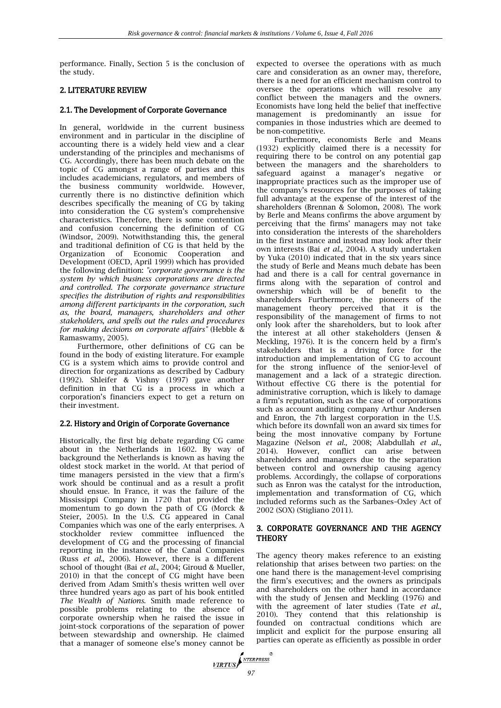performance. Finally, Section 5 is the conclusion of the study.

## 2. LITERATURE REVIEW

#### 2.1. The Development of Corporate Governance

In general, worldwide in the current business environment and in particular in the discipline of accounting there is a widely held view and a clear understanding of the principles and mechanisms of CG. Accordingly, there has been much debate on the topic of CG amongst a range of parties and this includes academicians, regulators, and members of the business community worldwide. However, currently there is no distinctive definition which describes specifically the meaning of CG by taking into consideration the CG system's comprehensive characteristics. Therefore, there is some contention and confusion concerning the definition of CG (Windsor, 2009). Notwithstanding this, the general and traditional definition of CG is that held by the Organization of Economic Cooperation and Development (OECD, April 1999) which has provided the following definition: *"corporate governance is the system by which business corporations are directed and controlled. The corporate governance structure specifies the distribution of rights and responsibilities among different participants in the corporation, such as, the board, managers, shareholders and other stakeholders, and spells out the rules and procedures for making decisions on corporate affairs"* (Hebble & Ramaswamy, 2005)*.*

Furthermore, other definitions of CG can be found in the body of existing literature. For example CG is a system which aims to provide control and direction for organizations as described by Cadbury (1992). Shleifer & Vishny (1997) gave another definition in that CG is a process in which a corporation's financiers expect to get a return on their investment.

### 2.2. History and Origin of Corporate Governance

Historically, the first big debate regarding CG came about in the Netherlands in 1602. By way of background the Netherlands is known as having the oldest stock market in the world. At that period of time managers persisted in the view that a firm's work should be continual and as a result a profit should ensue. In France, it was the failure of the Mississippi Company in 1720 that provided the momentum to go down the path of CG (Morck & Steier, 2005). In the U.S. CG appeared in Canal Companies which was one of the early enterprises. A stockholder review committee influenced the development of CG and the processing of financial reporting in the instance of the Canal Companies (Russ *et al*., 2006). However, there is a different school of thought (Bai *et al.*, 2004; Giroud & Mueller, 2010) in that the concept of CG might have been derived from Adam Smith's thesis written well over three hundred years ago as part of his book entitled *The Wealth of Nations.* Smith made reference to possible problems relating to the absence of corporate ownership when he raised the issue in joint-stock corporations of the separation of power between stewardship and ownership. He claimed that a manager of someone else's money cannot be

expected to oversee the operations with as much care and consideration as an owner may, therefore, there is a need for an efficient mechanism control to oversee the operations which will resolve any conflict between the managers and the owners. Economists have long held the belief that ineffective management is predominantly an issue for companies in those industries which are deemed to be non-competitive.

Furthermore, economists Berle and Means (1932) explicitly claimed there is a necessity for requiring there to be control on any potential gap between the managers and the shareholders to safeguard against a manager's negative or inappropriate practices such as the improper use of the company's resources for the purposes of taking full advantage at the expense of the interest of the shareholders (Brennan & Solomon, 2008). The work by Berle and Means confirms the above argument by perceiving that the firms' managers may not take into consideration the interests of the shareholders in the first instance and instead may look after their own interests (Bai *et al.*, 2004). A study undertaken by Yuka (2010) indicated that in the six years since the study of Berle and Means much debate has been had and there is a call for central governance in firms along with the separation of control and ownership which will be of benefit to the shareholders Furthermore, the pioneers of the management theory perceived that it is the responsibility of the management of firms to not only look after the shareholders, but to look after the interest at all other stakeholders (Jensen & Meckling, 1976). It is the concern held by a firm's stakeholders that is a driving force for the introduction and implementation of CG to account for the strong influence of the senior-level of management and a lack of a strategic direction. Without effective CG there is the potential for administrative corruption, which is likely to damage a firm's reputation, such as the case of corporations such as account auditing company Arthur Andersen and Enron, the 7th largest corporation in the U.S. which before its downfall won an award six times for being the most innovative company by Fortune Magazine (Nelson *et al.,* 2008; Alabdullah *et al.,* 2014). However, conflict can arise between shareholders and managers due to the separation between control and ownership causing agency problems. Accordingly, the collapse of corporations such as Enron was the catalyst for the introduction, implementation and transformation of CG, which included reforms such as the Sarbanes–Oxley Act of 2002 (SOX) (Stigliano 2011).

### 3. CORPORATE GOVERNANCE AND THE AGENCY **THEORY**

The agency theory makes reference to an existing relationship that arises between two parties: on the one hand there is the management-level comprising the firm's executives; and the owners as principals and shareholders on the other hand in accordance with the study of Jensen and Meckling (1976) and with the agreement of later studies (Tate *et al.,* 2010). They contend that this relationship is founded on contractual conditions which are implicit and explicit for the purpose ensuring all parties can operate as efficiently as possible in order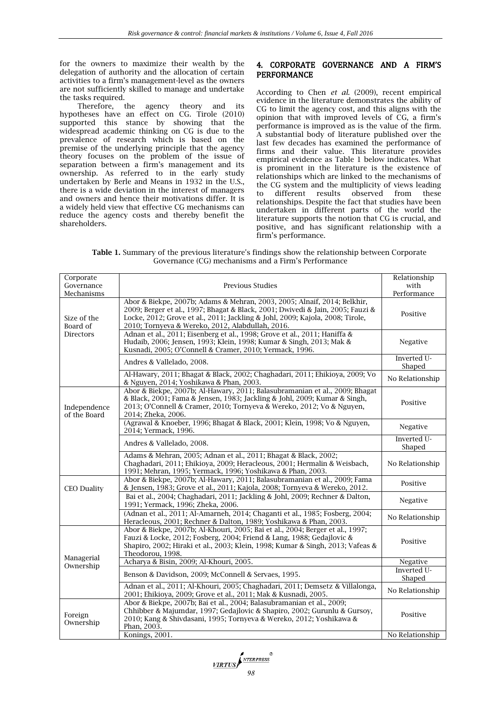for the owners to maximize their wealth by the delegation of authority and the allocation of certain activities to a firm's management-level as the owners are not sufficiently skilled to manage and undertake the tasks required.

Therefore, the agency theory and its hypotheses have an effect on CG. Tirole (2010) supported this stance by showing that the widespread academic thinking on CG is due to the prevalence of research which is based on the premise of the underlying principle that the agency theory focuses on the problem of the issue of separation between a firm's management and its ownership. As referred to in the early study undertaken by Berle and Means in 1932 in the U.S., there is a wide deviation in the interest of managers and owners and hence their motivations differ. It is a widely held view that effective CG mechanisms can reduce the agency costs and thereby benefit the shareholders.

## 4. CORPORATE GOVERNANCE AND A FIRM'S PERFORMANCE

According to Chen *et al.* (2009), recent empirical evidence in the literature demonstrates the ability of CG to limit the agency cost, and this aligns with the opinion that with improved levels of CG, a firm's performance is improved as is the value of the firm. A substantial body of literature published over the last few decades has examined the performance of firms and their value. This literature provides empirical evidence as Table 1 below indicates. What is prominent in the literature is the existence of relationships which are linked to the mechanisms of the CG system and the multiplicity of views leading to different results observed from these relationships. Despite the fact that studies have been undertaken in different parts of the world the literature supports the notion that CG is crucial, and positive, and has significant relationship with a firm's performance.

**Table 1.** Summary of the previous literature's findings show the relationship between Corporate Governance (CG) mechanisms and a Firm's Performance

| Corporate<br>Governance<br>Mechanisms       | Previous Studies                                                                                                                                                                                                                                                                                | Relationship<br>with<br>Performance |
|---------------------------------------------|-------------------------------------------------------------------------------------------------------------------------------------------------------------------------------------------------------------------------------------------------------------------------------------------------|-------------------------------------|
| Size of the<br>Board of<br><b>Directors</b> | Abor & Biekpe, 2007b; Adams & Mehran, 2003, 2005; Alnaif, 2014; Belkhir,<br>2009; Berger et al., 1997; Bhagat & Black, 2001; Dwivedi & Jain, 2005; Fauzi &<br>Locke, 2012; Grove et al., 2011; Jackling & Johl, 2009; Kajola, 2008; Tirole,<br>2010; Tornyeva & Wereko, 2012, Alabdullah, 2016. | Positive                            |
|                                             | Adnan et al., 2011; Eisenberg et al., 1998; Grove et al., 2011; Haniffa &<br>Hudaib, 2006; Jensen, 1993; Klein, 1998; Kumar & Singh, 2013; Mak &<br>Kusnadi, 2005; O'Connell & Cramer, 2010; Yermack, 1996.                                                                                     | Negative                            |
|                                             | Andres & Vallelado, 2008.                                                                                                                                                                                                                                                                       | Inverted U-<br>Shaped               |
|                                             | Al-Hawary, 2011; Bhagat & Black, 2002; Chaghadari, 2011; Ehikioya, 2009; Vo<br>& Nguyen, 2014; Yoshikawa & Phan, 2003.                                                                                                                                                                          | No Relationship                     |
| Independence<br>of the Board                | Abor & Biekpe, 2007b; Al-Hawary, 2011; Balasubramanian et al., 2009; Bhagat<br>& Black, 2001; Fama & Jensen, 1983; Jackling & Johl, 2009; Kumar & Singh,<br>2013; O'Connell & Cramer, 2010; Tornyeva & Wereko, 2012; Vo & Nguyen,<br>2014; Zheka, 2006.                                         | Positive                            |
|                                             | (Agrawal & Knoeber, 1996; Bhagat & Black, 2001; Klein, 1998; Vo & Nguyen,<br>2014; Yermack, 1996.                                                                                                                                                                                               | Negative                            |
|                                             | Andres & Vallelado, 2008.                                                                                                                                                                                                                                                                       | Inverted U-<br>Shaped               |
|                                             | Adams & Mehran, 2005; Adnan et al., 2011; Bhagat & Black, 2002;<br>Chaghadari, 2011; Ehikioya, 2009; Heracleous, 2001; Hermalin & Weisbach,<br>1991; Mehran, 1995; Yermack, 1996; Yoshikawa & Phan, 2003.                                                                                       | No Relationship                     |
| <b>CEO Duality</b>                          | Abor & Biekpe, 2007b; Al-Hawary, 2011; Balasubramanian et al., 2009; Fama<br>& Jensen, 1983; Grove et al., 2011; Kajola, 2008; Tornyeva & Wereko, 2012.                                                                                                                                         | Positive                            |
|                                             | Bai et al., 2004; Chaghadari, 2011; Jackling & Johl, 2009; Rechner & Dalton,<br>1991; Yermack, 1996; Zheka, 2006.                                                                                                                                                                               | Negative                            |
|                                             | (Adnan et al., 2011; Al-Amarneh, 2014; Chaganti et al., 1985; Fosberg, 2004;<br>Heracleous, 2001; Rechner & Dalton, 1989; Yoshikawa & Phan, 2003.                                                                                                                                               | No Relationship                     |
| Managerial<br>Ownership                     | Abor & Biekpe, 2007b; Al-Khouri, 2005; Bai et al., 2004; Berger et al., 1997;<br>Fauzi & Locke, 2012; Fosberg, 2004; Friend & Lang, 1988; Gedajlovic &<br>Shapiro, 2002; Hiraki et al., 2003; Klein, 1998; Kumar & Singh, 2013; Vafeas &<br>Theodorou, 1998.                                    | Positive                            |
|                                             | Acharya & Bisin, 2009; Al-Khouri, 2005.                                                                                                                                                                                                                                                         | Negative                            |
|                                             | Benson & Davidson, 2009; McConnell & Servaes, 1995.                                                                                                                                                                                                                                             | Inverted U-<br>Shaped               |
|                                             | Adnan et al., 2011; Al-Khouri, 2005; Chaghadari, 2011; Demsetz & Villalonga,<br>2001; Ehikioya, 2009; Grove et al., 2011; Mak & Kusnadi, 2005.                                                                                                                                                  | No Relationship                     |
| Foreign<br>Ownership                        | Abor & Biekpe, 2007b; Bai et al., 2004; Balasubramanian et al., 2009;<br>Chhibber & Majumdar, 1997; Gedajlovic & Shapiro, 2002; Gurunlu & Gursoy,<br>2010; Kang & Shivdasani, 1995; Tornyeva & Wereko, 2012; Yoshikawa &<br>Phan, 2003.                                                         | Positive                            |
|                                             | Konings, 2001.                                                                                                                                                                                                                                                                                  | No Relationship                     |

**VIRTUS**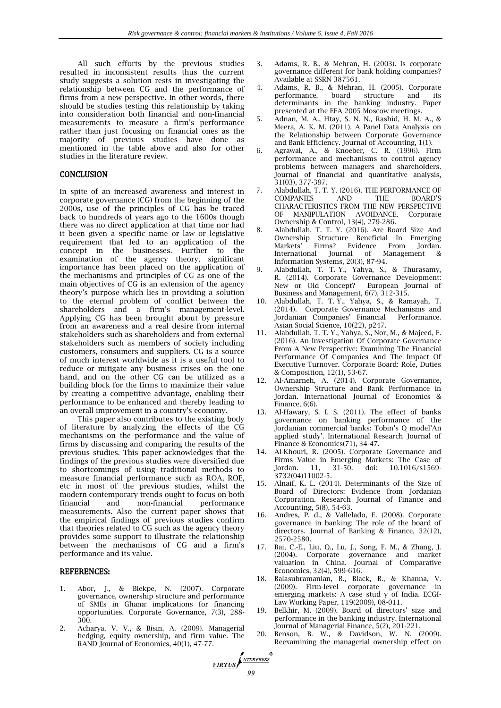All such efforts by the previous studies resulted in inconsistent results thus the current study suggests a solution rests in investigating the relationship between CG and the performance of firms from a new perspective. In other words, there should be studies testing this relationship by taking into consideration both financial and non-financial measurements to measure a firm's performance rather than just focusing on financial ones as the majority of previous studies have done as mentioned in the table above and also for other studies in the literature review.

#### **CONCLUSION**

In spite of an increased awareness and interest in corporate governance (CG) from the beginning of the 2000s, use of the principles of CG has be traced back to hundreds of years ago to the 1600s though there was no direct application at that time nor had it been given a specific name or law or legislative requirement that led to an application of the concept in the businesses. Further to the examination of the agency theory, significant importance has been placed on the application of the mechanisms and principles of CG as one of the main objectives of CG is an extension of the agency theory's purpose which lies in providing a solution to the eternal problem of conflict between the shareholders and a firm's management-level. Applying CG has been brought about by pressure from an awareness and a real desire from internal stakeholders such as shareholders and from external stakeholders such as members of society including customers, consumers and suppliers. CG is a source of much interest worldwide as it is a useful tool to reduce or mitigate any business crises on the one hand, and on the other CG can be utilized as a building block for the firms to maximize their value by creating a competitive advantage, enabling their performance to be enhanced and thereby leading to an overall improvement in a country's economy.

This paper also contributes to the existing body of literature by analyzing the effects of the CG mechanisms on the performance and the value of firms by discussing and comparing the results of the previous studies. This paper acknowledges that the findings of the previous studies were diversified due to shortcomings of using traditional methods to measure financial performance such as ROA, ROE, etc in most of the previous studies, whilst the modern contemporary trends ought to focus on both financial and non-financial performance measurements. Also the current paper shows that the empirical findings of previous studies confirm that theories related to CG such as the agency theory provides some support to illustrate the relationship between the mechanisms of CG and a firm's performance and its value.

#### REFERENCES:

- 1. Abor, J., & Biekpe, N. (2007). Corporate governance, ownership structure and performance of SMEs in Ghana: implications for financing opportunities. Corporate Governance, 7(3), 288- 300.
- 2. Acharya, V. V., & Bisin, A. (2009). Managerial hedging, equity ownership, and firm value. The RAND Journal of Economics, 40(1), 47-77.
- 3. Adams, R. B., & Mehran, H. (2003). Is corporate governance different for bank holding companies? Available at SSRN 387561.
- 4. Adams, R. B., & Mehran, H. (2005). Corporate performance, board structure and its determinants in the banking industry. Paper presented at the EFA 2005 Moscow meetings.
- 5. Adnan, M. A., Htay, S. N. N., Rashid, H. M. A., & Meera, A. K. M. (2011). A Panel Data Analysis on the Relationship between Corporate Governance and Bank Efficiency. Journal of Accounting, 1(1).
- 6. Agrawal, A., & Knoeber, C. R. (1996). Firm performance and mechanisms to control agency problems between managers and shareholders. Journal of financial and quantitative analysis, 31(03), 377-397.
- 7. Alabdullah, T. T. Y. (2016). THE PERFORMANCE OF COMPANIES AND THE BOARD'S CHARACTERISTICS FROM THE NEW PERSPECTIVE OF MANIPULATION AVOIDANCE. Corporate Ownership & Control, 13(4), 279-286.
- 8. Alabdullah, T. T. Y. (2016). Are Board Size And Ownership Structure Beneficial In Emerging Markets' Firms? Evidence From Jordan. International Journal of Management & Information Systems, 20(3), 87-94.
- 9. Alabdullah, T. T. Y., Yahya, S., & Thurasamy, R. (2014). Corporate Governance Development: New or Old Concept? European Journal of Business and Management, 6(7), 312-315.
- 10. Alabdullah, T. T. Y., Yahya, S., & Ramayah, T. (2014). Corporate Governance Mechanisms and Jordanian Companies' Financial Performance. Asian Social Science, 10(22), p247.
- 11. Alabdullah, T. T. Y., Yahya, S., Nor, M., & Majeed, F. (2016). An Investigation Of Corporate Governance From A New Perspective: Examining The Financial Performance Of Companies And The Impact Of Executive Turnover. Corporate Board: Role, Duties & Composition, 12(1), 53-67.
- 12. Al-Amarneh, A. (2014). Corporate Governance, Ownership Structure and Bank Performance in Jordan. International Journal of Economics & Finance, 6(6).
- 13. Al-Hawary, S. I. S. (2011). The effect of banks governance on banking performance of the Jordanian commercial banks: Tobin's Q model'An applied study'. International Research Journal of Finance & Economics(71), 34-47.
- 14. Al-Khouri, R. (2005). Corporate Governance and Firms Value in Emerging Markets: The Case of Jordan. 11, 31-50. doi: 10.1016/s1569-Jordan. 11, 31-50. doi: 10.1016/s1569- 3732(04)11002-5.
- 15. Alnaif, K. L. (2014). Determinants of the Size of Board of Directors: Evidence from Jordanian Corporation. Research Journal of Finance and Accounting, 5(8), 54-63.
- 16. Andres, P. d., & Vallelado, E. (2008). Corporate governance in banking: The role of the board of directors. Journal of Banking & Finance, 32(12), 2570-2580.
- 17. Bai, C.-E., Liu, Q., Lu, J., Song, F. M., & Zhang, J. (2004). Corporate governance and market valuation in China. Journal of Comparative Economics, 32(4), 599-616.
- 18. Balasubramanian, B., Black, B., & Khanna, V. (2009). Firm-level corporate governance in emerging markets: A case stud y of India. ECGI-Law Working Paper, 119(2009), 08-011.
- 19. Belkhir, M. (2009). Board of directors' size and performance in the banking industry. International Journal of Managerial Finance, 5(2), 201-221.
- 20. Benson, B. W., & Davidson, W. N. (2009). Reexamining the managerial ownership effect on

*VIRTUS*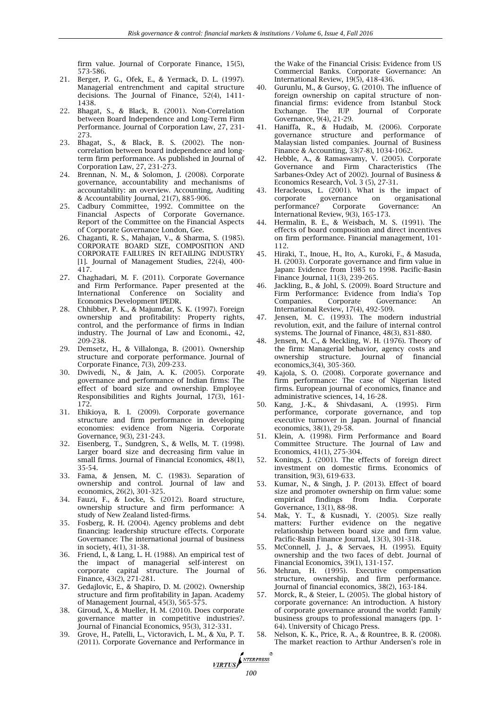firm value. Journal of Corporate Finance, 15(5), 573-586.

- 21. Berger, P. G., Ofek, E., & Yermack, D. L. (1997). Managerial entrenchment and capital structure decisions. The Journal of Finance, 52(4), 1411- 1438.
- 22. Bhagat, S., & Black, B. (2001). Non-Correlation between Board Independence and Long-Term Firm Performance. Journal of Corporation Law, 27, 231- 273.
- 23. Bhagat, S., & Black, B. S. (2002). The noncorrelation between board independence and longterm firm performance. As published in Journal of Corporation Law, 27, 231-273.
- 24. Brennan, N. M., & Solomon, J. (2008). Corporate governance, accountability and mechanisms of accountability: an overview. Accounting, Auditing & Accountability Journal, 21(7), 885-906.
- 25. Cadbury Committee, 1992. Committee on the Financial Aspects of Corporate Governance. Report of the Committee on the Financial Aspects of Corporate Governance London, Gee.
- 26. Chaganti, R. S., Mahajan, V., & Sharma, S. (1985). CORPORATE BOARD SIZE, COMPOSITION AND CORPORATE FAILURES IN RETAILING INDUSTRY [1]. Journal of Management Studies, 22(4), 400- 417.
- 27. Chaghadari, M. F. (2011). Corporate Governance and Firm Performance. Paper presented at the International Conference on Sociality and Economics Development IPEDR.
- 28. Chhibber, P. K., & Majumdar, S. K. (1997). Foreign ownership and profitability: Property rights, control, and the performance of firms in Indian industry. The Journal of Law and Economi., 42, 209-238.
- 29. Demsetz, H., & Villalonga, B. (2001). Ownership structure and corporate performance. Journal of Corporate Finance, 7(3), 209-233.
- 30. Dwivedi, N., & Jain, A. K. (2005). Corporate governance and performance of Indian firms: The effect of board size and ownership. Employee Responsibilities and Rights Journal, 17(3), 161- 172.
- 31. Ehikioya, B. I. (2009). Corporate governance structure and firm performance in developing economies: evidence from Nigeria. Corporate Governance, 9(3), 231-243.
- 32. Eisenberg, T., Sundgren, S., & Wells, M. T. (1998). Larger board size and decreasing firm value in small firms. Journal of Financial Economics, 48(1), 35-54.
- 33. Fama, & Jensen, M. C. (1983). Separation of ownership and control. Journal of law and economics, 26(2), 301-325.
- 34. Fauzi, F., & Locke, S. (2012). Board structure, ownership structure and firm performance: A study of New Zealand listed-firms.
- 35. Fosberg, R. H. (2004). Agency problems and debt financing: leadership structure effects. Corporate Governance: The international journal of business in society, 4(1), 31-38.
- 36. Friend, I., & Lang, L. H. (1988). An empirical test of the impact of managerial self‐interest on corporate capital structure. The Journal of Finance, 43(2), 271-281.
- 37. Gedajlovic, E., & Shapiro, D. M. (2002). Ownership structure and firm profitability in Japan. Academy of Management Journal, 45(3), 565-575.
- 38. Giroud, X., & Mueller, H. M. (2010). Does corporate governance matter in competitive industries?. Journal of Financial Economics, 95(3), 312-331.
- 39. Grove, H., Patelli, L., Victoravich, L. M., & Xu, P. T. (2011). Corporate Governance and Performance in

the Wake of the Financial Crisis: Evidence from US Commercial Banks. Corporate Governance: An International Review, 19(5), 418-436.

- 40. Gurunlu, M., & Gursoy, G. (2010). The influence of foreign ownership on capital structure of nonfinancial firms: evidence from Istanbul Stock Exchange. The IUP Journal of Corporate Governance, 9(4), 21-29.
- 41. Haniffa, R., & Hudaib, M. (2006). Corporate governance structure and performance of Malaysian listed companies. Journal of Business Finance & Accounting, 33(7‐8), 1034-1062.
- 42. Hebble, A., & Ramaswamy, V. (2005). Corporate Governance and Firm Characteristics (The Sarbanes-Oxley Act of 2002). Journal of Business & Economics Research, Vol. 3 (5), 27-31.
- 43. Heracleous, L. (2001). What is the impact of corporate governance on organisational corporate governance on organisational performance? Corporate Governance: An International Review, 9(3), 165-173.
- 44. Hermalin, B. E., & Weisbach, M. S. (1991). The effects of board composition and direct incentives on firm performance. Financial management, 101- 112.
- 45. Hiraki, T., Inoue, H., Ito, A., Kuroki, F., & Masuda, H. (2003). Corporate governance and firm value in Japan: Evidence from 1985 to 1998. Pacific-Basin Finance Journal, 11(3), 239-265.
- 46. Jackling, B., & Johl, S. (2009). Board Structure and Firm Performance: Evidence from India's Top Companies. Corporate Governance: An International Review, 17(4), 492-509.
- 47. Jensen, M. C. (1993). The modern industrial revolution, exit, and the failure of internal control systems. The Journal of Finance, 48(3), 831-880.
- 48. Jensen, M. C., & Meckling, W. H. (1976). Theory of the firm: Managerial behavior, agency costs and ownership structure. Journal of financial economics,3(4), 305-360.
- 49. Kajola, S. O. (2008). Corporate governance and firm performance: The case of Nigerian listed firms. European journal of economics, finance and administrative sciences, 14, 16-28.
- 50. Kang, J.-K., & Shivdasani, A. (1995). Firm performance, corporate governance, and top executive turnover in Japan. Journal of financial economics, 38(1), 29-58.
- 51. Klein, A. (1998). Firm Performance and Board Committee Structure. The Journal of Law and Economics, 41(1), 275-304.
- 52. Konings, J. (2001). The effects of foreign direct investment on domestic firms. Economics of transition, 9(3), 619-633.
- 53. Kumar, N., & Singh, J. P. (2013). Effect of board size and promoter ownership on firm value: some empirical findings from India. Corporate Governance, 13(1), 88-98.
- 54. Mak, Y. T., & Kusnadi, Y. (2005). Size really matters: Further evidence on the negative relationship between board size and firm value. Pacific-Basin Finance Journal, 13(3), 301-318.
- 55. McConnell, J. J., & Servaes, H. (1995). Equity ownership and the two faces of debt. Journal of Financial Economics, 39(1), 131-157.
- 56. Mehran, H. (1995). Executive compensation structure, ownership, and firm performance. Journal of financial economics, 38(2), 163-184.
- 57. Morck, R., & Steier, L. (2005). The global history of corporate governance: An introduction. A history of corporate governance around the world: Family business groups to professional managers (pp. 1- 64). University of Chicago Press.
- 58. Nelson, K. K., Price, R. A., & Rountree, B. R. (2008). The market reaction to Arthur Andersen's role in

*IRTUS <sup>NTERPRESS*</sup>